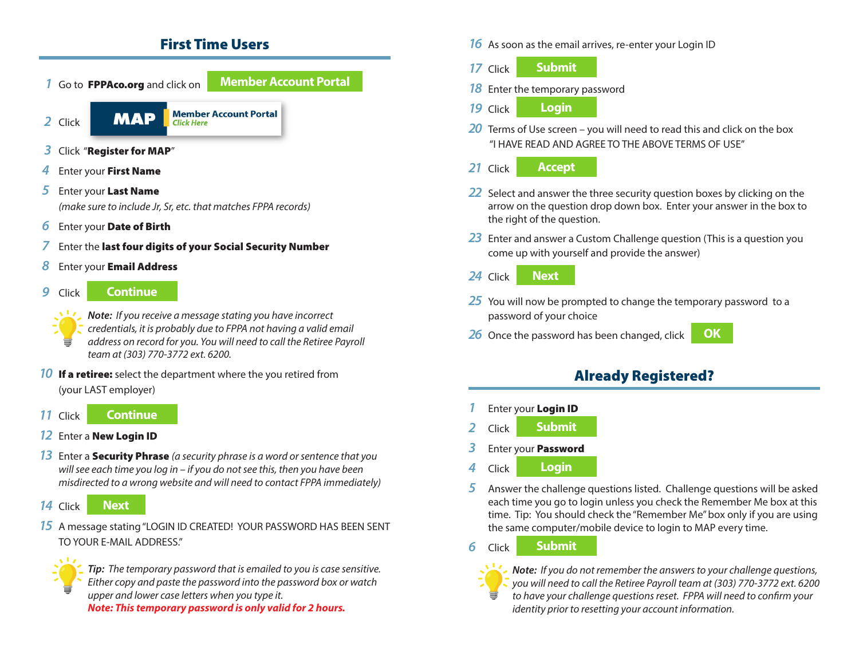### First Time Users



- *14* Click **Next**
- *15* A message stating "LOGIN ID CREATED! YOUR PASSWORD HAS BEEN SENT TO YOUR E-MAIL ADDRESS."



*Tip: The temporary password that is emailed to you is case sensitive. Either copy and paste the password into the password box or watch upper and lower case letters when you type it. Note: This temporary password is only valid for 2 hours.*

- *16* As soon as the email arrives, re-enter your Login ID
- **17 Click Submit**
- *18* Enter the temporary password
- *19* Click **Login**
- **20** Terms of Use screen you will need to read this and click on the box "I HAVE READ AND AGREE TO THE ABOVE TERMS OF USE"

### 21 Click **Accept**

- *22* Select and answer the three security question boxes by clicking on the arrow on the question drop down box. Enter your answer in the box to the right of the question.
- *23* Enter and answer a Custom Challenge question (This is a question you come up with yourself and provide the answer)
- 24 Click **Next**
- 25 You will now be prompted to change the temporary password to a password of your choice
- *26* Once the password has been changed, click **OK**



## Already Registered?

- *Enter your Login ID*
- *2* Click **Submit**
- *3* Enter your Password
- *4* Click **Login**
- *5* Answer the challenge questions listed. Challenge questions will be asked each time you go to login unless you check the Remember Me box at this time. Tip: You should check the "Remember Me" box only if you are using the same computer/mobile device to login to MAP every time.
- *6* Click **Submit**



*Note: If you do not remember the answers to your challenge questions, you will need to call the Retiree Payroll team at (303) 770-3772 ext. 6200 to have your challenge questions reset. FPPA will need to confirm your identity prior to resetting your account information.*